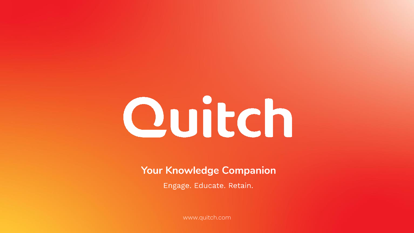# Quitch

**Your Knowledge Companion** 

Engage. Educate. Retain.

www.quitch.com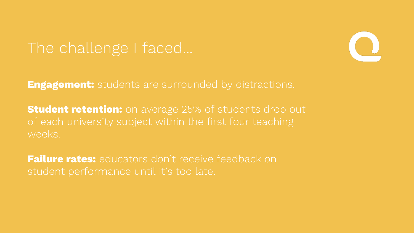## The challenge I faced...



**Engagement:** students are surrounded by distractions.

**Student retention:** on average 25% of students drop out of each university subject within the first four teaching weeks.

**Failure rates:** educators don't receive feedback on student performance until it's too late.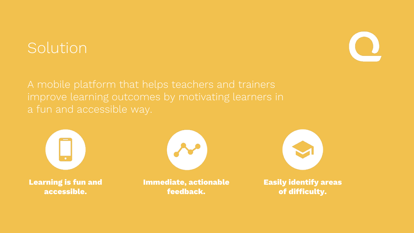## Solution



A mobile platform that helps teachers and trainers improve learning outcomes by motivating learners in a fun and accessible way.



**Learning is fun and accessible.**



**Immediate, actionable feedback.**



**Easily identify areas of difficulty.**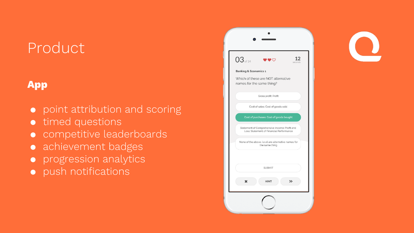## Product

### **App**

- point attribution and scoring
- timed questions
- competitive leaderboards
- achievement badges
- progression analytics
- push notifications

| 03 of 14 |                                  |                           |                                                                                           |   | secon |
|----------|----------------------------------|---------------------------|-------------------------------------------------------------------------------------------|---|-------|
|          | <b>Banking &amp; Economics 1</b> |                           |                                                                                           |   |       |
|          |                                  | names for the same thing? | Which of these are NOT alternative                                                        |   |       |
|          |                                  | Gross profit: Profit      |                                                                                           |   |       |
|          |                                  |                           | Cost of sales: Cost of goods sold                                                         |   |       |
|          |                                  |                           | Cost of purchases: Cost of goods bought                                                   |   |       |
|          |                                  |                           | Statement of Comprehensive Income: Profit and<br>Loss: Statement of Financial Performance |   |       |
|          |                                  | the same thing            | None of the above, i.e all are alternative names for                                      |   |       |
|          |                                  |                           |                                                                                           |   |       |
|          |                                  | <b>SUBMIT</b>             |                                                                                           |   |       |
|          |                                  | <b>HINT</b>               |                                                                                           | ≫ |       |
|          |                                  |                           |                                                                                           |   |       |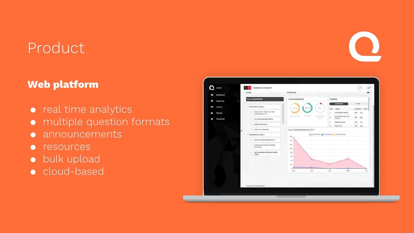## Product

#### **Web platform**

- real time analytics
- multiple question formats
- announcements
- resources
- bulk upload
- cloud-based

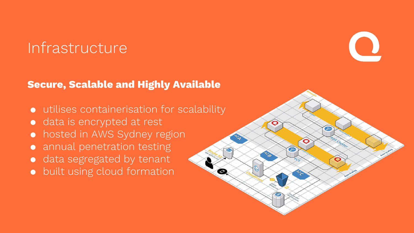## Infrastructure

#### **Secure, Scalable and Highly Available**

- utilises containerisation for scalability
- data is encrypted at rest
- hosted in AWS Sydney region
- annual penetration testing
- data segregated by tenant
- built using cloud formation

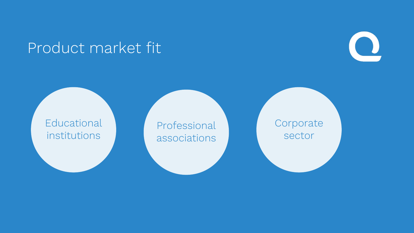## Product market fit



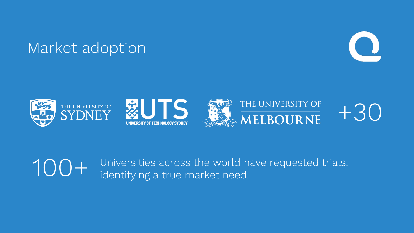## Market adoption





Universities across the world have requested trials, identifying a true market need. 100+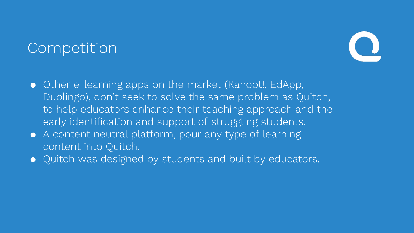## **Competition**



- Other e-learning apps on the market (Kahoot!, EdApp, Duolingo), don't seek to solve the same problem as Quitch, to help educators enhance their teaching approach and the early identification and support of struggling students.
- A content neutral platform, pour any type of learning content into Quitch.
- Quitch was designed by students and built by educators.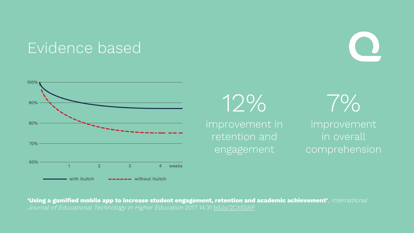## Evidence based



12% improvement in retention and engagement

7%

improvement in overall comprehension

**'Using a gamified mobile app to increase student engagement, retention and academic achievement'**, International Journal of Educational Technology in Higher Education 2017 14:31 bit.ly/2CXIGWF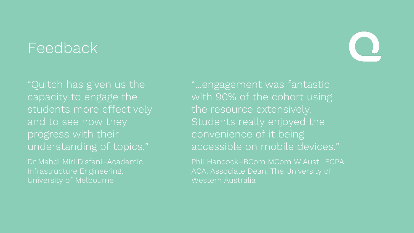## Feedback

"Quitch has given us the capacity to engage the students more effectively and to see how they progress with their understanding of topics."

Dr Mahdi Miri Disfani–Academic, Infrastructure Engineering, University of Melbourne

"...engagement was fantastic with 90% of the cohort using the resource extensively. Students really enjoyed the convenience of it being accessible on mobile devices."

Phil Hancock–BCom MCom W.Aust., FCPA, ACA, Associate Dean, The University of Western Australia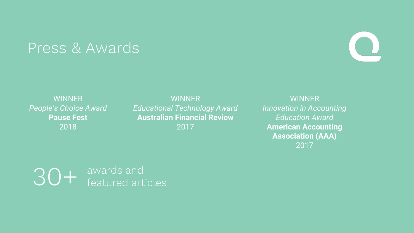## Press & Awards



WINNER *Educational Technology Award* **Australian Financial Review** 2017

**WINNER** *Innovation in Accounting Education Award* **American Accounting Association (AAA)** 2017

30+ awards and<br>featured articles

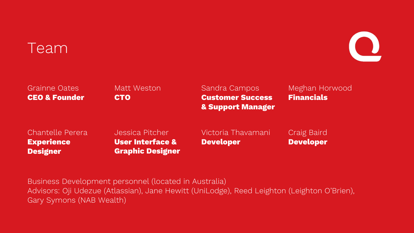## Team



| <b>Grainne Oates</b>     | Matt Weston | Sandra Campos                | Meghan Horwood    |  |
|--------------------------|-------------|------------------------------|-------------------|--|
| <b>CEO &amp; Founder</b> | <b>CTO</b>  | <b>Customer Success</b>      | <b>Financials</b> |  |
|                          |             | <b>&amp; Support Manager</b> |                   |  |
|                          |             |                              |                   |  |

Chantelle Perera **Experience Designer**

Jessica Pitcher **User Interface & Graphic Designer** Victoria Thavamani **Developer**

Craig Baird **Developer**

Business Development personnel (located in Australia) Advisors: Oji Udezue (Atlassian), Jane Hewitt (UniLodge), Reed Leighton (Leighton O'Brien), Gary Symons (NAB Wealth)